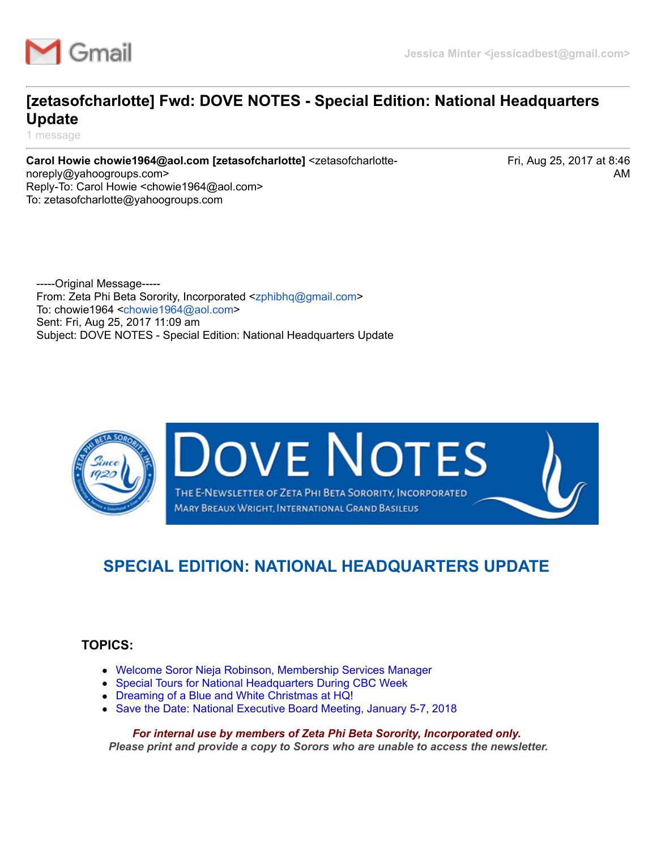

# **[zetasofcharlotte] Fwd: DOVE NOTES - Special Edition: National Headquarters Update**

1 message

**Carol Howie chowie1964@aol.com [zetasofcharlotte]** <zetasofcharlottenoreply@yahoogroups.com> Reply-To: Carol Howie <chowie1964@aol.com> To: zetasofcharlotte@yahoogroups.com

Fri, Aug 25, 2017 at 8:46 AM

-----Original Message----- From: Zeta Phi Beta Sorority, Incorporated [<zphibhq@gmail.com>](mailto:zphibhq@gmail.com) To: chowie1964 [<chowie1964@aol.com>](mailto:chowie1964@aol.com) Sent: Fri, Aug 25, 2017 11:09 am Subject: DOVE NOTES - Special Edition: National Headquarters Update



**OVE NOTES** THE E-NEWSLETTER OF ZETA PHI BETA SORORITY, INCORPORATED

MARY BREAUX WRIGHT, INTERNATIONAL GRAND BASILEUS

# **SPECIAL EDITION: NATIONAL HEADQUARTERS UPDATE**

### <span id="page-0-1"></span>**TOPICS:**

- [Welcome Soror Nieja Robinson, Membership Services Manager](#page-0-0)
- [Special Tours for National Headquarters During CBC Week](#page-1-0)
- [Dreaming of a Blue and White Christmas at HQ!](https://mail.google.com/mail/u/0/?ui=2&ik=dc628660dd&jsver=M6fEKBcEEk0.en.&view=pt&as_query=label%3Azeta%20subject%3A(dove%20notes)%20dove%20notes&as_subj=dove%20notes&as_has=dove%20notes&as_sizeoperator=s_sl&as_sizeunit=s_smb&as_subset=all&as_within=1d&search=adv&th=15e1a154f37c91e0&siml=15e1a154f37c91e0#m_-7592910516746306758_aolmail_Boule2018)
- [Save the Date: National Executive Board Meeting, January 5-7, 2018](#page-3-0)

<span id="page-0-0"></span>*For internal use by members of Zeta Phi Beta Sorority, Incorporated only. Please print and provide a copy to Sorors who are unable to access the newsletter.*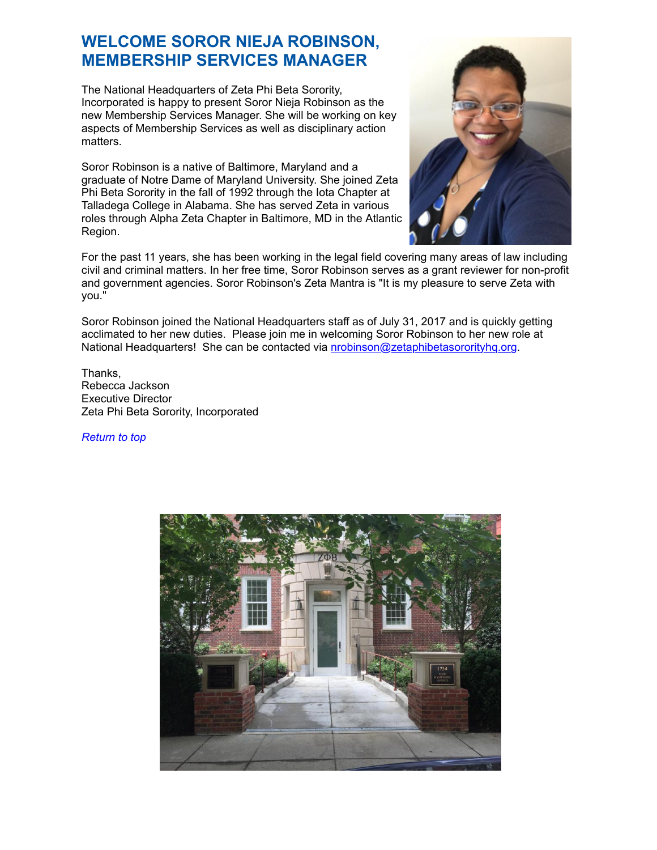### **WELCOME SOROR NIEJA ROBINSON, MEMBERSHIP SERVICES MANAGER**

The National Headquarters of Zeta Phi Beta Sorority, Incorporated is happy to present Soror Nieja Robinson as the new Membership Services Manager. She will be working on key aspects of Membership Services as well as disciplinary action matters.

Soror Robinson is a native of Baltimore, Maryland and a graduate of Notre Dame of Maryland University. She joined Zeta Phi Beta Sorority in the fall of 1992 through the Iota Chapter at Talladega College in Alabama. She has served Zeta in various roles through Alpha Zeta Chapter in Baltimore, MD in the Atlantic Region.



For the past 11 years, she has been working in the legal field covering many areas of law including civil and criminal matters. In her free time, Soror Robinson serves as a grant reviewer for non-profit and government agencies. Soror Robinson's Zeta Mantra is "It is my pleasure to serve Zeta with you."

Soror Robinson joined the National Headquarters staff as of July 31, 2017 and is quickly getting acclimated to her new duties. Please join me in welcoming Soror Robinson to her new role at National Headquarters! She can be contacted via **nrobinson@zetaphibetasororityhq.org.** 

Thanks, Rebecca Jackson Executive Director Zeta Phi Beta Sorority, Incorporated

*[Return to top](#page-0-1)*

<span id="page-1-0"></span>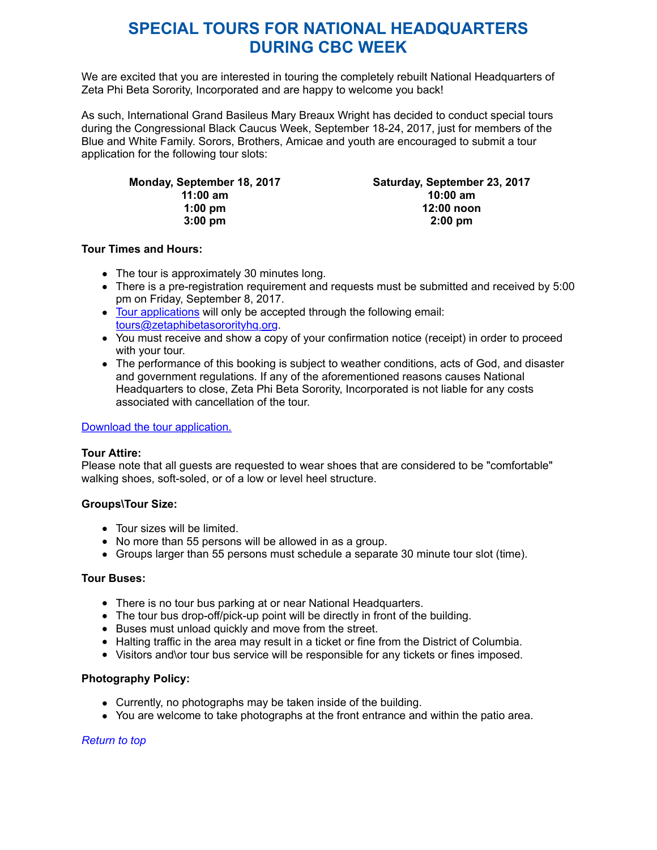### **SPECIAL TOURS FOR NATIONAL HEADQUARTERS DURING CBC WEEK**

We are excited that you are interested in touring the completely rebuilt National Headquarters of Zeta Phi Beta Sorority, Incorporated and are happy to welcome you back!

As such, International Grand Basileus Mary Breaux Wright has decided to conduct special tours during the Congressional Black Caucus Week, September 18-24, 2017, just for members of the Blue and White Family. Sorors, Brothers, Amicae and youth are encouraged to submit a tour application for the following tour slots:

| Monday, September 18, 2017 | Saturday, September 23, 2017 |
|----------------------------|------------------------------|
| $11:00 \text{ am}$         | $10:00$ am                   |
| $1:00 \text{ pm}$          | 12:00 noon                   |
| $3:00 \text{ pm}$          | $2:00 \text{ pm}$            |

#### **Tour Times and Hours:**

- The tour is approximately 30 minutes long.
- There is a pre-registration requirement and requests must be submitted and received by 5:00 pm on Friday, September 8, 2017.
- [Tour applications](http://r20.rs6.net/tn.jsp?f=001_tpf52VpqdHzZv2XClrQDUUoUqv0Lc2Xi9DFE-mRaDg5jqIgg8hb-cMvZCIgh9AqdgVybZhjRUkBvUL6qyGTW6P0mpHo7bw4XtUoqjRBjYq6DOxdnSwZNVgU73dU7QQs48dI7S_h4gJQHIgWwmLSN5Gb0Dw1ZBJBAArkY8frLLyBsI40gJHfqXMobLVm-czLFkka-nymKkYuzZ5lyNhOzOpPywJptPWhcKuj0jPnEP9R-g24SVfeMgljmArE0---&c=cj_8UgpHKkX682LKg8GrY_UJtHuev68kEsEvSfUVRppW53nxCKr-LQ==&ch=gsqoGqDdO9CqMfuYzeZaF97yKxs6HZG7Zb25k9nwnlYnP1Ie2zGmJQ==) will only be accepted through the following email: [tours@zetaphibetasororityhq.org](mailto:tours@zetaphibetasororityhq.org).
- You must receive and show a copy of your confirmation notice (receipt) in order to proceed with your tour.
- The performance of this booking is subject to weather conditions, acts of God, and disaster and government regulations. If any of the aforementioned reasons causes National Headquarters to close, Zeta Phi Beta Sorority, Incorporated is not liable for any costs associated with cancellation of the tour.

#### [Download the tour application.](http://r20.rs6.net/tn.jsp?f=001_tpf52VpqdHzZv2XClrQDUUoUqv0Lc2Xi9DFE-mRaDg5jqIgg8hb-cMvZCIgh9AqdgVybZhjRUkBvUL6qyGTW6P0mpHo7bw4XtUoqjRBjYq6DOxdnSwZNVgU73dU7QQs48dI7S_h4gJQHIgWwmLSN5Gb0Dw1ZBJBAArkY8frLLyBsI40gJHfqXMobLVm-czLFkka-nymKkYuzZ5lyNhOzOpPywJptPWhcKuj0jPnEP9R-g24SVfeMgljmArE0---&c=cj_8UgpHKkX682LKg8GrY_UJtHuev68kEsEvSfUVRppW53nxCKr-LQ==&ch=gsqoGqDdO9CqMfuYzeZaF97yKxs6HZG7Zb25k9nwnlYnP1Ie2zGmJQ==)

#### **Tour Attire:**

Please note that all guests are requested to wear shoes that are considered to be "comfortable" walking shoes, soft-soled, or of a low or level heel structure.

#### **Groups\Tour Size:**

- Tour sizes will be limited.
- No more than 55 persons will be allowed in as a group.
- Groups larger than 55 persons must schedule a separate 30 minute tour slot (time).

#### **Tour Buses:**

- There is no tour bus parking at or near National Headquarters.
- The tour bus drop-off/pick-up point will be directly in front of the building.
- Buses must unload quickly and move from the street.
- Halting traffic in the area may result in a ticket or fine from the District of Columbia.
- Visitors and\or tour bus service will be responsible for any tickets or fines imposed.

#### **Photography Policy:**

- Currently, no photographs may be taken inside of the building.
- You are welcome to take photographs at the front entrance and within the patio area.

*[Return to top](#page-0-1)*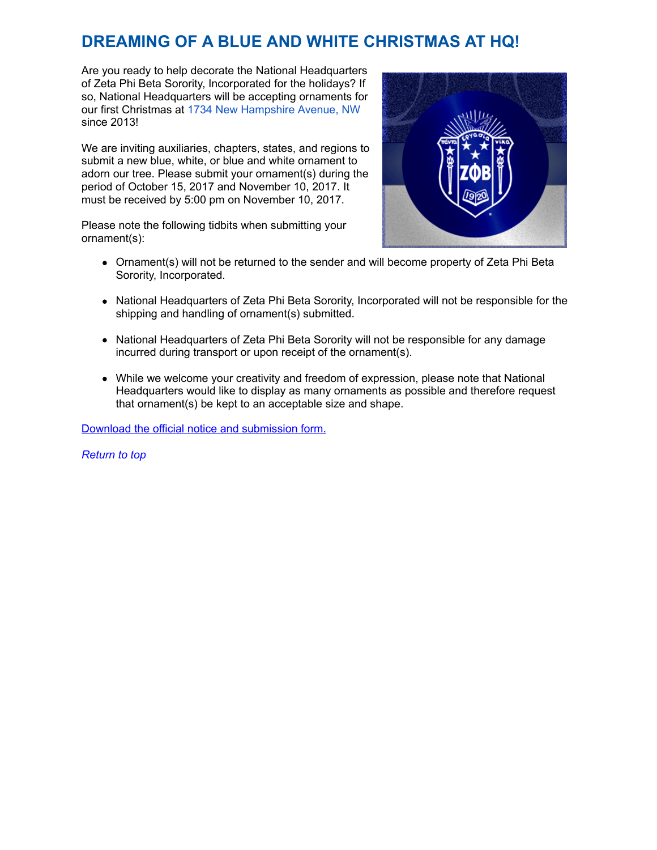# **DREAMING OF A BLUE AND WHITE CHRISTMAS AT HQ!**

Are you ready to help decorate the National Headquarters of Zeta Phi Beta Sorority, Incorporated for the holidays? If so, National Headquarters will be accepting ornaments for our first Christmas at [1734 New Hampshire Avenue, NW](https://maps.google.com/?q=1734+New+Hampshire+Avenue,+NW&entry=gmail&source=g) since 2013!

We are inviting auxiliaries, chapters, states, and regions to submit a new blue, white, or blue and white ornament to adorn our tree. Please submit your ornament(s) during the period of October 15, 2017 and November 10, 2017. It must be received by 5:00 pm on November 10, 2017.



Please note the following tidbits when submitting your ornament(s):

- Ornament(s) will not be returned to the sender and will become property of Zeta Phi Beta Sorority, Incorporated.
- National Headquarters of Zeta Phi Beta Sorority, Incorporated will not be responsible for the shipping and handling of ornament(s) submitted.
- National Headquarters of Zeta Phi Beta Sorority will not be responsible for any damage incurred during transport or upon receipt of the ornament(s).
- While we welcome your creativity and freedom of expression, please note that National Headquarters would like to display as many ornaments as possible and therefore request that ornament(s) be kept to an acceptable size and shape.

[Download the official notice and submission form.](http://r20.rs6.net/tn.jsp?f=001_tpf52VpqdHzZv2XClrQDUUoUqv0Lc2Xi9DFE-mRaDg5jqIgg8hb-cMvZCIgh9AqaJmsOI8RTbfwpwbSlzcJibv6BDN_v_Nhm6FFSCQ3r79laBtRNBCm8dLk1gw0pNMojHJUxBv0alos9NhLl7XwqplA7NdXaVDeNgI5XTXuzmWHkAdIROXabgv-_4exNNlJ8mR_PtkbBYsmBEwQYiozGU-c5JgiVkXz9olryN9ooy1qn2Rn5wudJjBAPbAzVEZi&c=cj_8UgpHKkX682LKg8GrY_UJtHuev68kEsEvSfUVRppW53nxCKr-LQ==&ch=gsqoGqDdO9CqMfuYzeZaF97yKxs6HZG7Zb25k9nwnlYnP1Ie2zGmJQ==)

<span id="page-3-0"></span>*[Return to top](#page-0-1)*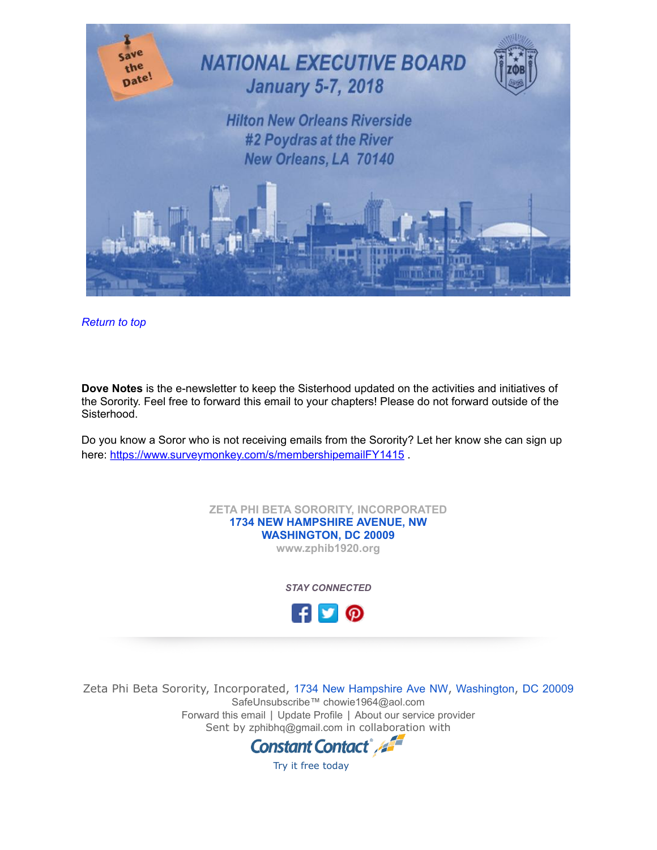

*[Return to top](#page-0-1)*

**Dove Notes** is the e-newsletter to keep the Sisterhood updated on the activities and initiatives of the Sorority. Feel free to forward this email to your chapters! Please do not forward outside of the Sisterhood.

Do you know a Soror who is not receiving emails from the Sorority? Let her know she can sign up here: https://www.surveymonkey.com/s/membershipemailFY1415.

> **ZETA PHI BETA SORORITY, INCORPORATED [1734 NEW HAMPSHIRE AVENUE, NW](https://maps.google.com/?q=1734+NEW+HAMPSHIRE+AVENUE,+NW+%0D+%0D+%0D+%0D+WASHINGTON,+DC+20009&entry=gmail&source=g) [WASHINGTON, DC 20009](https://maps.google.com/?q=1734+NEW+HAMPSHIRE+AVENUE,+NW+%0D+%0D+%0D+%0D+WASHINGTON,+DC+20009&entry=gmail&source=g)**

**[www.zphib1920.org](http://r20.rs6.net/tn.jsp?f=001_tpf52VpqdHzZv2XClrQDUUoUqv0Lc2Xi9DFE-mRaDg5jqIgg8hb-aLyjkqVhbHDRz1_EAiKwTsQ2X6qESIgbCG5Kl40w2Y7zqGQmyJFpnJXtmdO6Q2b7Zkc31TasNzHexH_UTO7SJ_sp2j7Brkl_lyssYl85dGhZsCMbPcH4Ug=&c=cj_8UgpHKkX682LKg8GrY_UJtHuev68kEsEvSfUVRppW53nxCKr-LQ==&ch=gsqoGqDdO9CqMfuYzeZaF97yKxs6HZG7Zb25k9nwnlYnP1Ie2zGmJQ==)**

*STAY CONNECTED*



Zeta Phi Beta Sorority, Incorporated, [1734](https://maps.google.com/?q=1734%C2%A0New%C2%A0Hampshire%C2%A0Ave%C2%A0NW,%C2%A0Washington,%C2%A0DC%C2%A020009&entry=gmail&source=g) [New](https://maps.google.com/?q=1734%C2%A0New%C2%A0Hampshire%C2%A0Ave%C2%A0NW,%C2%A0Washington,%C2%A0DC%C2%A020009&entry=gmail&source=g) [Hampshire](https://maps.google.com/?q=1734%C2%A0New%C2%A0Hampshire%C2%A0Ave%C2%A0NW,%C2%A0Washington,%C2%A0DC%C2%A020009&entry=gmail&source=g) [Ave](https://maps.google.com/?q=1734%C2%A0New%C2%A0Hampshire%C2%A0Ave%C2%A0NW,%C2%A0Washington,%C2%A0DC%C2%A020009&entry=gmail&source=g) [NW](https://maps.google.com/?q=1734%C2%A0New%C2%A0Hampshire%C2%A0Ave%C2%A0NW,%C2%A0Washington,%C2%A0DC%C2%A020009&entry=gmail&source=g), [Washington](https://maps.google.com/?q=1734%C2%A0New%C2%A0Hampshire%C2%A0Ave%C2%A0NW,%C2%A0Washington,%C2%A0DC%C2%A020009&entry=gmail&source=g), [DC](https://maps.google.com/?q=1734%C2%A0New%C2%A0Hampshire%C2%A0Ave%C2%A0NW,%C2%A0Washington,%C2%A0DC%C2%A020009&entry=gmail&source=g) [20009](https://maps.google.com/?q=1734%C2%A0New%C2%A0Hampshire%C2%A0Ave%C2%A0NW,%C2%A0Washington,%C2%A0DC%C2%A020009&entry=gmail&source=g) [SafeUnsubscribe™ chowie1964@aol.com](https://visitor.constantcontact.com/do?p=un&m=001nB2BdIHJYKfYJKuZovZlHw%3D%3D&ch=9df31d90-ac25-11e3-b795-d4ae5292b9a6&ca=13b1344c-3dc5-4fa9-88c0-f9b76ce3b026) [Forward this email](http://ui.constantcontact.com/sa/fwtf.jsp?llr=8zbeo7gab&m=1106908415803&ea=chowie1964%40aol.com&a=1128697684773) | [Update Profile](https://visitor.constantcontact.com/do?p=oo&m=001nB2BdIHJYKfYJKuZovZlHw%3D%3D&ch=9df31d90-ac25-11e3-b795-d4ae5292b9a6&ca=13b1344c-3dc5-4fa9-88c0-f9b76ce3b026) | [About our service provider](http://www.constantcontact.com/legal/service-provider?cc=about-service-provider) Sent by [zphibhq@gmail.com](mailto:zphibhq@gmail.com) in collaboration with



[Try it free today](http://www.constantcontact.com/index.jsp?cc=PM_B2BA)